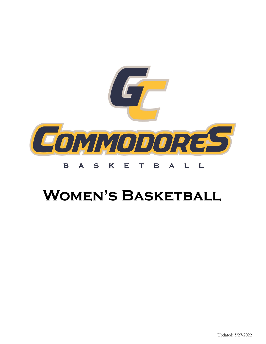

## **Women's Basketball**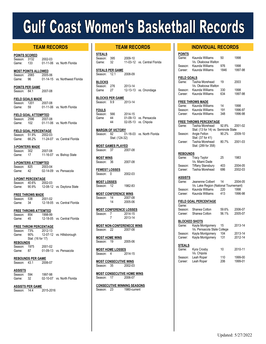# **Gulf Coast Women's Basketball Records**

**POINTS SCORED** Season: 3132 2002-03 Game: 133 01-11-06 vs. North Florida

**MOST POINTS ALLOWED**<br>Season: 2065 2005-06 Season: 2065 Game: 96 01-14-15 vs. Northwest Florida

**POINTS PER GAME** Season: 84.1 2007-08

**FIELD GOALS MADE** Season: 1201 2007-08<br>Game: 59 01-11-06 01-11-06 vs. North Florida

**FIELD GOAL ATTEMPTED** Season: 2596 2007-08<br>Game: 102 01-11-06 01-11-06 vs. North Florida

**FIELD GOAL PERCENTAGE** Season: 51.9% 2002-03<br>Game: 66.2% 11-24-07 11-24-07 vs. Central Florida

- **3-POINTERS MADE**
- Season: 302 2007-08 Game: 17 11-16-07 vs. Bishop State

**3-POINTERS ATTEMPTED**<br>Season: 825 2003-04 Season: 825 Game: 42 02-14-09 vs. Pensacola

**3-POINT PERCENTAGE** Season: 40.6% 2002-03 Game: 90.9% 12-08-12 vs. Daytona State

**FREE THROWS MADE**<br>Season: 538 2001-02 Season: 538 Game: 34 12-18-05 vs. Central Florida

**FREE THROWS ATTEMTED** Season: 854 1998-99 Game: 45 12-18-05 vs. Central Florida

**FREE THROW PERCENTAGE** Season: 73% 2012-13<br>Game: 90% 12-07-12 Game: 90% 12-07-12 vs. Hillsborough Stat: (16 for 17) **REBOUNDS**

Season: 1975 2001-02 Game: 87 01-09-13 vs. Pensacola

**REBOUNDS PER GAME**<br>Season: 43.1 2006-07 Season:  $43.1$ 

**ASSISTS** Season: 594 1997-98

Game: 32 02-10-07 vs. North Florida

**ASSISTS PER GAME**<br>Season: 14.4 2015-2016

Season: 14.4

### **TEAM RECORDS INDIVIDUAL RECORDS**

| <b>STEALS</b> |     |         |                              |
|---------------|-----|---------|------------------------------|
| Season: 395   |     | 2009-10 |                              |
| Game:         | -32 |         | 11-03-12 vs. Central Florida |

|         | STEALS PER GAME |         |
|---------|-----------------|---------|
| Season: | 121             | 2008-09 |

| <b>BLOCKS</b> |     |         |                       |
|---------------|-----|---------|-----------------------|
| Season: 276   |     | 2013-14 |                       |
| Game          | -27 |         | 12-13-13 vs. Onondaga |

**BLOCKS PER GAME**

Season: 9.9 2013-14

| <b>FOULS</b> |     |         |                        |
|--------------|-----|---------|------------------------|
| Season:      | 566 | 2014-15 |                        |
| Game         | 44  |         | 01-09-13 vs. Pensacola |
|              | 44  |         | 02-05-13 vs. Chipola   |

**MARGIN OF VICTORY** Season: 92 01-18-03 vs. North Florida Stat: (124-32)

**MOST GAMES PLAYED**<br>Season: 37 2007-08 Season: 37

**MOST WINS** Season: 36 2007-08

**FEWEST LOSSES** Season: 0 2002-03

**MOST LOSSES** Season: 12 1982-83

**MOST CONFERENCE WINS** Season: 14 2007-08 14 2005-06

**MOST CONFERENCE LOSSES** Season: 7 2014-15 7 2013-14

**MOST NON-CONFERENECE WINS** Season: 22 2007-08

**MOST HOME WINS** Season: 19 2005-06

**MOST HOME LOSSES**<br>Season: 4 2014-15 Season: 4

**MOST CONSECUTIVE WINS** Season: 35 2002-03

**MOST CONSECUTIVE HOME WINS** Season: 17 2006-07

**CONSECUTIVE WINNING SEASONS**

Season: 23 1980-current

| <b>INDIVIDUAL RECORDS</b> |  |  |  |  |  |  |
|---------------------------|--|--|--|--|--|--|
|---------------------------|--|--|--|--|--|--|

| <b>POINTS</b>        |                                       |       |         |
|----------------------|---------------------------------------|-------|---------|
| Game:                | Kaunda Williams                       | 50    | 1998    |
|                      |                                       |       |         |
|                      | Vs. Okaloosa Walton                   |       |         |
| Season:              | Kaunda Williams                       | 976   | 1998    |
| Career:              | Kaunda Williams                       | 1846  | 1997-98 |
|                      |                                       |       |         |
| <b>FIELD GOALS</b>   |                                       |       |         |
| Game:                | Tashia Morehead                       | 19    | 2003    |
|                      | Vs. Okaloosa Walton                   |       |         |
|                      |                                       |       |         |
| Season:              | Kaunda Williams                       | 330   | 1998    |
| Career:              | Kaunda Williams                       | 634   | 1997-98 |
|                      |                                       |       |         |
|                      | <b>FREE THROWS MADE</b>               |       |         |
| Game:                | Kaunda Williams                       | 14    | 1998    |
| Season:              | Kaunda Williams                       | 191   | 1996-97 |
| Career:              | Kaunda Williams                       | 348   | 1996-98 |
|                      |                                       |       |         |
|                      |                                       |       |         |
|                      | <b>FREE THROWS PERCENTAGE</b>         |       |         |
| Game:                | Tashia Morehead                       | 92.8% | 2001-02 |
|                      | Stat: (13 for 14) vs. Seminole State  |       |         |
| Season:              | Angie Felton                          | 90.2% | 2009-10 |
|                      | Stat: (37 for 41)                     |       |         |
| Career:              | Tashia Morehead                       | 80.7% | 2001-03 |
|                      | Stat: (289 for 358)                   |       |         |
|                      |                                       |       |         |
|                      |                                       |       |         |
| <b>REBOUNDS</b>      |                                       |       |         |
| Game:                | Tracy Taylor                          | 25    | 1983    |
|                      | Vs. Miami Dade                        |       |         |
| Season:              | <b>Tiffany Stansbury</b>              | 403   | 2004-05 |
| Career:              | Tashia Morehead                       | 686   | 2002-03 |
|                      |                                       |       |         |
| ASSISTS              |                                       |       |         |
| Game:                | Jeanenne Colbert                      | 14    | 2004-05 |
|                      |                                       |       |         |
|                      | Vs. Lake Region (National Tournemant) |       |         |
| Season:              | Kaunda Williams                       | 220   | 1998    |
| Career:              | Kaunda Williams                       | 413   | 1996-98 |
|                      |                                       |       |         |
|                      | <b>FIELD GOAL PERCENTAGE</b>          |       |         |
| Game:                |                                       |       |         |
| Season:              | Shanea Cotton                         | 59.6% | 2006-07 |
| Career:              | Shanea Cotton                         | 56.1% | 2005-07 |
|                      |                                       |       |         |
|                      |                                       |       |         |
| <b>BLOCKED SHOTS</b> |                                       |       |         |
| Game:                | Kayla Montgomery                      | 15    | 2013-14 |
|                      | Vs. Pensacola State College           |       |         |
| Season:              | Kayla Montgomery                      | 104   | 2013-14 |
| Career:              | Kayla Montgomery                      | 131   | 2012-14 |
|                      |                                       |       |         |
| <b>STEALS</b>        |                                       |       |         |
| Game:                |                                       |       | 2010-11 |
|                      | Kyra Crosby                           | 10    |         |
|                      | Vs. Chipola                           |       |         |
| Season:              | Leah Roper                            | 110   | 1999-00 |
| Career:              | Leah Roper                            | 206   | 1999-01 |
|                      |                                       |       |         |
|                      |                                       |       |         |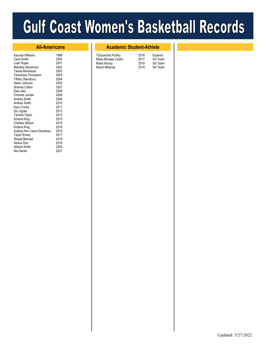# **Gulf Coast Women's Basketball Records**

| Kaunda Williams           | 1998 |
|---------------------------|------|
| Carol Smith               | 2000 |
| Leah Roper                | 2001 |
| Mandisa Stevenson         | 2002 |
| Tashia Morehead           | 2003 |
| Tanesheia Thompson        | 2003 |
| <b>Tiffany Stansbury</b>  | 2004 |
| Helen Johnson             | 2005 |
| Shanea Cotton             | 2007 |
| Dee Liles                 | 2008 |
| Chimere Jordan            | 2009 |
| Andrea Smith              | 2009 |
| Andrea Smith              | 2010 |
| Kyra Crosby               | 2011 |
| Uju Ugoka                 | 2012 |
| Tamara Taylor             | 2013 |
| Kristina King             | 2015 |
| <b>Chelsey Gibson</b>     | 2015 |
| Kristina King             | 2016 |
| Audrey-Ann Caron-Goudreau | 2016 |
| <b>Taylor Emery</b>       | 2017 |
| Shayla Bennett            | 2018 |
| Alexus Dye                | 2019 |
| Ahlana Smith              | 2020 |
| Nia Daniel                | 2021 |
|                           |      |

### **All-Americans Academic Student-Athlete**

| TyQuandria Purifoy   | 2016 | Superior |
|----------------------|------|----------|
| Maria Morales Castro | 2017 | 3rd Team |
| Nakia Kincey         | 2019 | 3rd Team |
| Naomi Mbandu         | 2019 | 3rd Team |